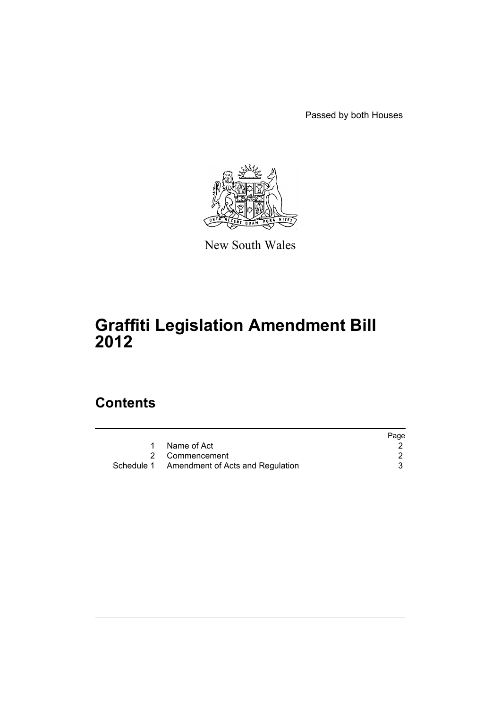Passed by both Houses



New South Wales

# **Graffiti Legislation Amendment Bill 2012**

# **Contents**

|                                             | Page |
|---------------------------------------------|------|
| Name of Act                                 |      |
| 2 Commencement                              |      |
| Schedule 1 Amendment of Acts and Regulation |      |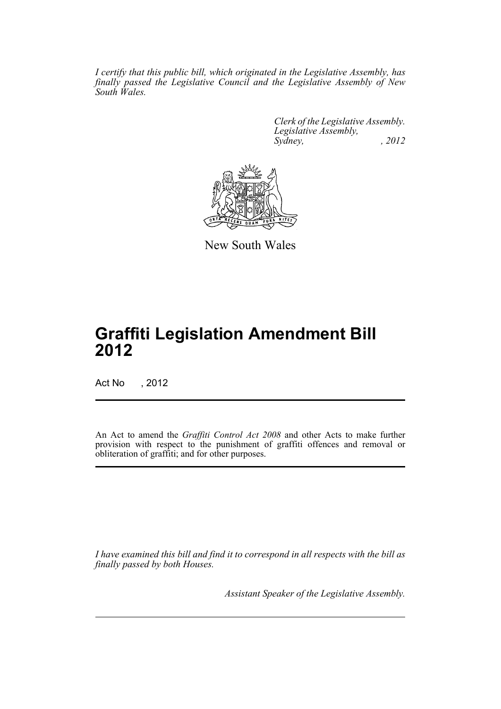*I certify that this public bill, which originated in the Legislative Assembly, has finally passed the Legislative Council and the Legislative Assembly of New South Wales.*

> *Clerk of the Legislative Assembly. Legislative Assembly, Sydney, , 2012*



New South Wales

# **Graffiti Legislation Amendment Bill 2012**

Act No , 2012

An Act to amend the *Graffiti Control Act 2008* and other Acts to make further provision with respect to the punishment of graffiti offences and removal or obliteration of graffiti; and for other purposes.

*I have examined this bill and find it to correspond in all respects with the bill as finally passed by both Houses.*

*Assistant Speaker of the Legislative Assembly.*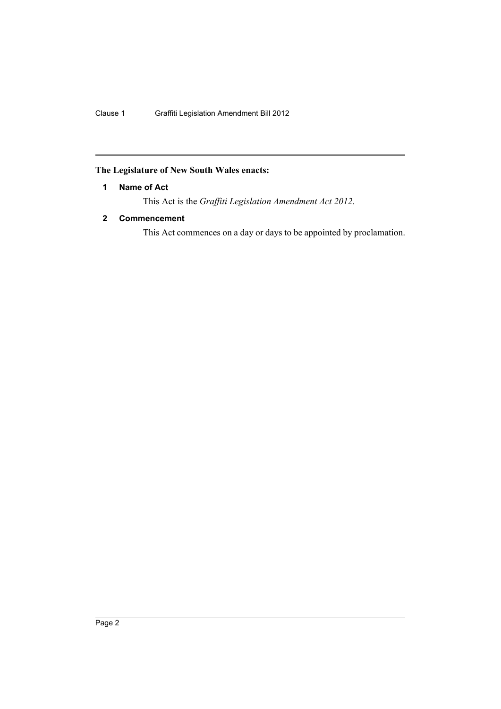# <span id="page-3-0"></span>**The Legislature of New South Wales enacts:**

# **1 Name of Act**

This Act is the *Graffiti Legislation Amendment Act 2012*.

# <span id="page-3-1"></span>**2 Commencement**

This Act commences on a day or days to be appointed by proclamation.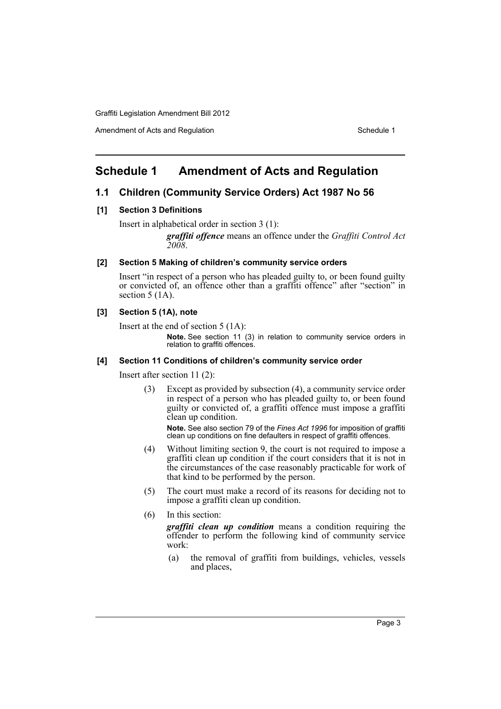Amendment of Acts and Regulation Schedule 1 and Schedule 1

# <span id="page-4-0"></span>**Schedule 1 Amendment of Acts and Regulation**

# **1.1 Children (Community Service Orders) Act 1987 No 56**

### **[1] Section 3 Definitions**

Insert in alphabetical order in section 3 (1):

*graffiti offence* means an offence under the *Graffiti Control Act 2008*.

#### **[2] Section 5 Making of children's community service orders**

Insert "in respect of a person who has pleaded guilty to, or been found guilty or convicted of, an offence other than a graffiti offence" after "section" in section 5 (1A).

## **[3] Section 5 (1A), note**

Insert at the end of section 5 (1A):

**Note.** See section 11 (3) in relation to community service orders in relation to graffiti offences.

#### **[4] Section 11 Conditions of children's community service order**

Insert after section 11 (2):

(3) Except as provided by subsection (4), a community service order in respect of a person who has pleaded guilty to, or been found guilty or convicted of, a graffiti offence must impose a graffiti clean up condition.

**Note.** See also section 79 of the *Fines Act 1996* for imposition of graffiti clean up conditions on fine defaulters in respect of graffiti offences.

- (4) Without limiting section 9, the court is not required to impose a graffiti clean up condition if the court considers that it is not in the circumstances of the case reasonably practicable for work of that kind to be performed by the person.
- (5) The court must make a record of its reasons for deciding not to impose a graffiti clean up condition.
- (6) In this section:

*graffiti clean up condition* means a condition requiring the offender to perform the following kind of community service work:

(a) the removal of graffiti from buildings, vehicles, vessels and places,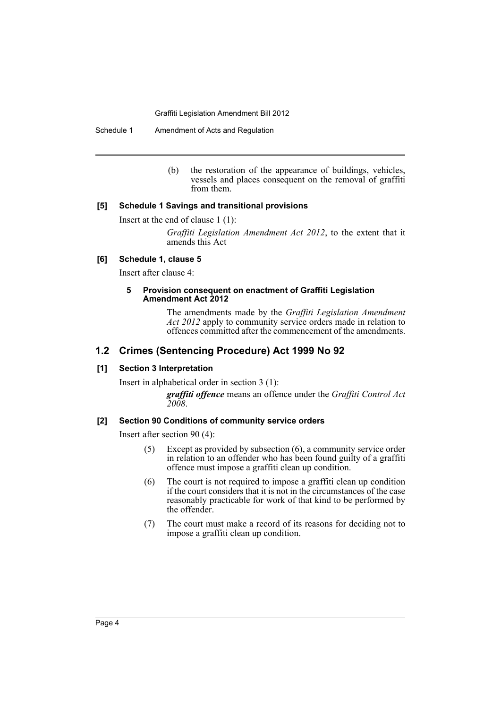Schedule 1 Amendment of Acts and Regulation

(b) the restoration of the appearance of buildings, vehicles, vessels and places consequent on the removal of graffiti from them.

# **[5] Schedule 1 Savings and transitional provisions**

Insert at the end of clause 1 (1):

*Graffiti Legislation Amendment Act 2012*, to the extent that it amends this Act

# **[6] Schedule 1, clause 5**

Insert after clause 4:

#### **5 Provision consequent on enactment of Graffiti Legislation Amendment Act 2012**

The amendments made by the *Graffiti Legislation Amendment Act 2012* apply to community service orders made in relation to offences committed after the commencement of the amendments.

# **1.2 Crimes (Sentencing Procedure) Act 1999 No 92**

# **[1] Section 3 Interpretation**

Insert in alphabetical order in section 3 (1):

*graffiti offence* means an offence under the *Graffiti Control Act 2008*.

# **[2] Section 90 Conditions of community service orders**

Insert after section 90 (4):

- (5) Except as provided by subsection (6), a community service order in relation to an offender who has been found guilty of a graffiti offence must impose a graffiti clean up condition.
- (6) The court is not required to impose a graffiti clean up condition if the court considers that it is not in the circumstances of the case reasonably practicable for work of that kind to be performed by the offender.
- (7) The court must make a record of its reasons for deciding not to impose a graffiti clean up condition.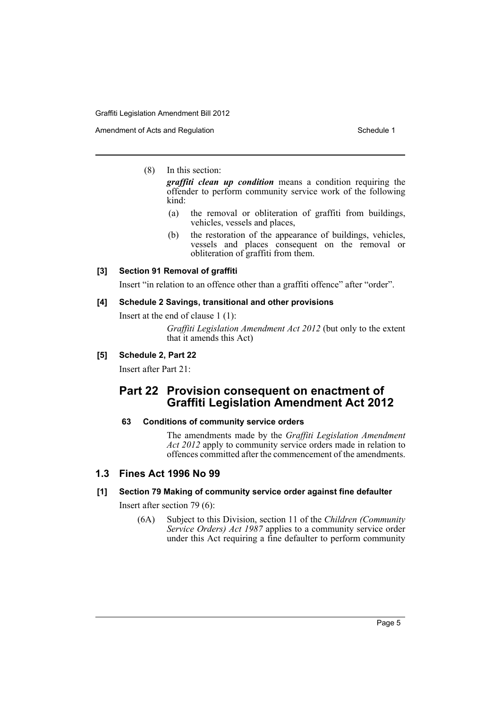Amendment of Acts and Regulation Schedule 1 and Schedule 1

(8) In this section:

*graffiti clean up condition* means a condition requiring the offender to perform community service work of the following kind:

- (a) the removal or obliteration of graffiti from buildings, vehicles, vessels and places,
- (b) the restoration of the appearance of buildings, vehicles, vessels and places consequent on the removal or obliteration of graffiti from them.

#### **[3] Section 91 Removal of graffiti**

Insert "in relation to an offence other than a graffiti offence" after "order".

#### **[4] Schedule 2 Savings, transitional and other provisions**

Insert at the end of clause 1 (1):

*Graffiti Legislation Amendment Act 2012* (but only to the extent that it amends this Act)

# **[5] Schedule 2, Part 22**

Insert after Part 21:

# **Part 22 Provision consequent on enactment of Graffiti Legislation Amendment Act 2012**

### **63 Conditions of community service orders**

The amendments made by the *Graffiti Legislation Amendment Act 2012* apply to community service orders made in relation to offences committed after the commencement of the amendments.

# **1.3 Fines Act 1996 No 99**

#### **[1] Section 79 Making of community service order against fine defaulter**

Insert after section 79 (6):

(6A) Subject to this Division, section 11 of the *Children (Community Service Orders) Act 1987* applies to a community service order under this Act requiring a fine defaulter to perform community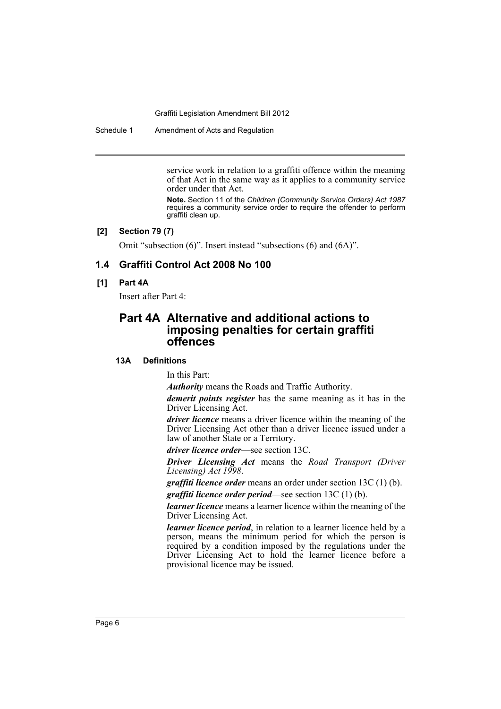Schedule 1 Amendment of Acts and Regulation

service work in relation to a graffiti offence within the meaning of that Act in the same way as it applies to a community service order under that Act.

**Note.** Section 11 of the *Children (Community Service Orders) Act 1987* requires a community service order to require the offender to perform graffiti clean up.

#### **[2] Section 79 (7)**

Omit "subsection (6)". Insert instead "subsections (6) and (6A)".

# **1.4 Graffiti Control Act 2008 No 100**

# **[1] Part 4A**

Insert after Part 4:

# **Part 4A Alternative and additional actions to imposing penalties for certain graffiti offences**

## **13A Definitions**

In this Part:

*Authority* means the Roads and Traffic Authority.

*demerit points register* has the same meaning as it has in the Driver Licensing Act.

*driver licence* means a driver licence within the meaning of the Driver Licensing Act other than a driver licence issued under a law of another State or a Territory.

*driver licence order*—see section 13C.

*Driver Licensing Act* means the *Road Transport (Driver Licensing) Act 1998*.

*graffiti licence order* means an order under section 13C (1) (b).

*graffiti licence order period*—see section 13C (1) (b).

*learner licence* means a learner licence within the meaning of the Driver Licensing Act.

*learner licence period*, in relation to a learner licence held by a person, means the minimum period for which the person is required by a condition imposed by the regulations under the Driver Licensing Act to hold the learner licence before a provisional licence may be issued.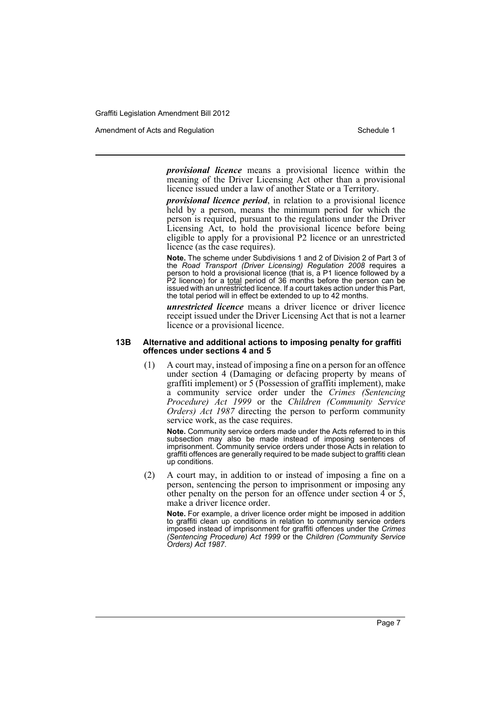Amendment of Acts and Regulation Schedule 1 and Schedule 1

*provisional licence* means a provisional licence within the meaning of the Driver Licensing Act other than a provisional licence issued under a law of another State or a Territory.

*provisional licence period*, in relation to a provisional licence held by a person, means the minimum period for which the person is required, pursuant to the regulations under the Driver Licensing Act, to hold the provisional licence before being eligible to apply for a provisional P2 licence or an unrestricted licence (as the case requires).

**Note.** The scheme under Subdivisions 1 and 2 of Division 2 of Part 3 of the *Road Transport (Driver Licensing) Regulation 2008* requires a person to hold a provisional licence (that is, a P1 licence followed by a P2 licence) for a *total* period of 36 months before the person can be issued with an unrestricted licence. If a court takes action under this Part, the total period will in effect be extended to up to 42 months.

*unrestricted licence* means a driver licence or driver licence receipt issued under the Driver Licensing Act that is not a learner licence or a provisional licence.

#### **13B Alternative and additional actions to imposing penalty for graffiti offences under sections 4 and 5**

(1) A court may, instead of imposing a fine on a person for an offence under section 4 (Damaging or defacing property by means of graffiti implement) or 5 (Possession of graffiti implement), make a community service order under the *Crimes (Sentencing Procedure) Act 1999* or the *Children (Community Service Orders) Act 1987* directing the person to perform community service work, as the case requires.

**Note.** Community service orders made under the Acts referred to in this subsection may also be made instead of imposing sentences of imprisonment. Community service orders under those Acts in relation to graffiti offences are generally required to be made subject to graffiti clean up conditions.

(2) A court may, in addition to or instead of imposing a fine on a person, sentencing the person to imprisonment or imposing any other penalty on the person for an offence under section  $4$  or  $5$ , make a driver licence order.

**Note.** For example, a driver licence order might be imposed in addition to graffiti clean up conditions in relation to community service orders imposed instead of imprisonment for graffiti offences under the *Crimes (Sentencing Procedure) Act 1999* or the *Children (Community Service Orders) Act 1987*.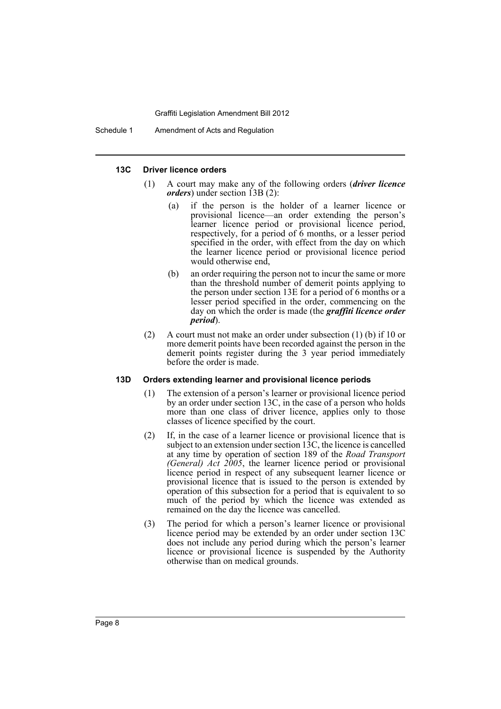#### **13C Driver licence orders**

- (1) A court may make any of the following orders (*driver licence orders*) under section 13B (2):
	- (a) if the person is the holder of a learner licence or provisional licence—an order extending the person's learner licence period or provisional licence period, respectively, for a period of 6 months, or a lesser period specified in the order, with effect from the day on which the learner licence period or provisional licence period would otherwise end,
	- (b) an order requiring the person not to incur the same or more than the threshold number of demerit points applying to the person under section 13E for a period of 6 months or a lesser period specified in the order, commencing on the day on which the order is made (the *graffiti licence order period*).
- (2) A court must not make an order under subsection (1) (b) if 10 or more demerit points have been recorded against the person in the demerit points register during the 3 year period immediately before the order is made.

#### **13D Orders extending learner and provisional licence periods**

- (1) The extension of a person's learner or provisional licence period by an order under section 13C, in the case of a person who holds more than one class of driver licence, applies only to those classes of licence specified by the court.
- (2) If, in the case of a learner licence or provisional licence that is subject to an extension under section  $13C$ , the licence is cancelled at any time by operation of section 189 of the *Road Transport (General) Act 2005*, the learner licence period or provisional licence period in respect of any subsequent learner licence or provisional licence that is issued to the person is extended by operation of this subsection for a period that is equivalent to so much of the period by which the licence was extended as remained on the day the licence was cancelled.
- (3) The period for which a person's learner licence or provisional licence period may be extended by an order under section 13C does not include any period during which the person's learner licence or provisional licence is suspended by the Authority otherwise than on medical grounds.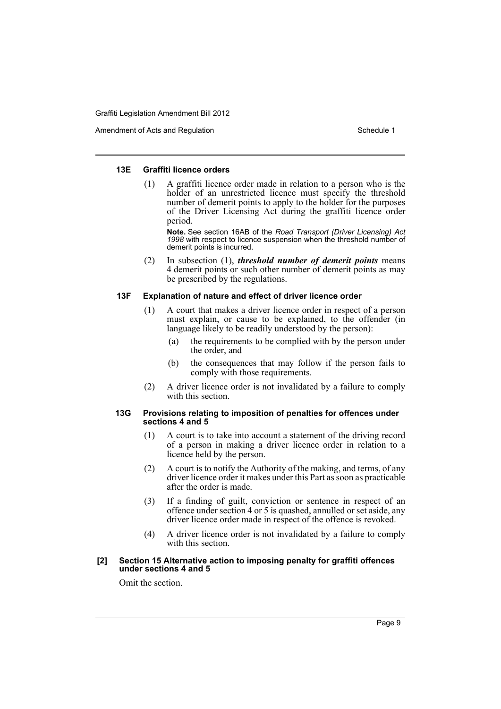Amendment of Acts and Regulation Schedule 1 and Schedule 1

#### **13E Graffiti licence orders**

(1) A graffiti licence order made in relation to a person who is the holder of an unrestricted licence must specify the threshold number of demerit points to apply to the holder for the purposes of the Driver Licensing Act during the graffiti licence order period.

**Note.** See section 16AB of the *Road Transport (Driver Licensing) Act 1998* with respect to licence suspension when the threshold number of demerit points is incurred.

(2) In subsection (1), *threshold number of demerit points* means 4 demerit points or such other number of demerit points as may be prescribed by the regulations.

#### **13F Explanation of nature and effect of driver licence order**

- (1) A court that makes a driver licence order in respect of a person must explain, or cause to be explained, to the offender (in language likely to be readily understood by the person):
	- (a) the requirements to be complied with by the person under the order, and
	- (b) the consequences that may follow if the person fails to comply with those requirements.
- (2) A driver licence order is not invalidated by a failure to comply with this section.

#### **13G Provisions relating to imposition of penalties for offences under sections 4 and 5**

- (1) A court is to take into account a statement of the driving record of a person in making a driver licence order in relation to a licence held by the person.
- (2) A court is to notify the Authority of the making, and terms, of any driver licence order it makes under this Part as soon as practicable after the order is made.
- (3) If a finding of guilt, conviction or sentence in respect of an offence under section 4 or 5 is quashed, annulled or set aside, any driver licence order made in respect of the offence is revoked.
- (4) A driver licence order is not invalidated by a failure to comply with this section.

#### **[2] Section 15 Alternative action to imposing penalty for graffiti offences under sections 4 and 5**

Omit the section.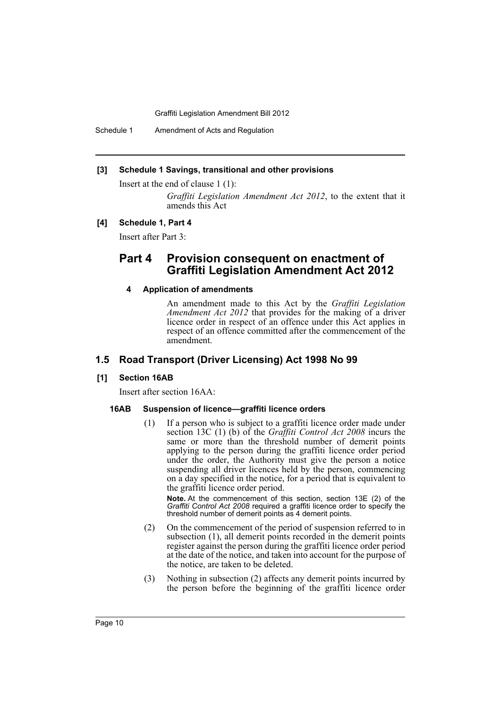Schedule 1 Amendment of Acts and Regulation

#### **[3] Schedule 1 Savings, transitional and other provisions**

Insert at the end of clause 1 (1):

*Graffiti Legislation Amendment Act 2012*, to the extent that it amends this Act

#### **[4] Schedule 1, Part 4**

Insert after Part 3:

# **Part 4 Provision consequent on enactment of Graffiti Legislation Amendment Act 2012**

# **4 Application of amendments**

An amendment made to this Act by the *Graffiti Legislation Amendment Act 2012* that provides for the making of a driver licence order in respect of an offence under this Act applies in respect of an offence committed after the commencement of the amendment.

# **1.5 Road Transport (Driver Licensing) Act 1998 No 99**

#### **[1] Section 16AB**

Insert after section 16AA:

#### **16AB Suspension of licence—graffiti licence orders**

(1) If a person who is subject to a graffiti licence order made under section 13C (1) (b) of the *Graffiti Control Act 2008* incurs the same or more than the threshold number of demerit points applying to the person during the graffiti licence order period under the order, the Authority must give the person a notice suspending all driver licences held by the person, commencing on a day specified in the notice, for a period that is equivalent to the graffiti licence order period.

**Note.** At the commencement of this section, section 13E (2) of the *Graffiti Control Act 2008* required a graffiti licence order to specify the threshold number of demerit points as 4 demerit points.

- (2) On the commencement of the period of suspension referred to in subsection (1), all demerit points recorded in the demerit points register against the person during the graffiti licence order period at the date of the notice, and taken into account for the purpose of the notice, are taken to be deleted.
- (3) Nothing in subsection (2) affects any demerit points incurred by the person before the beginning of the graffiti licence order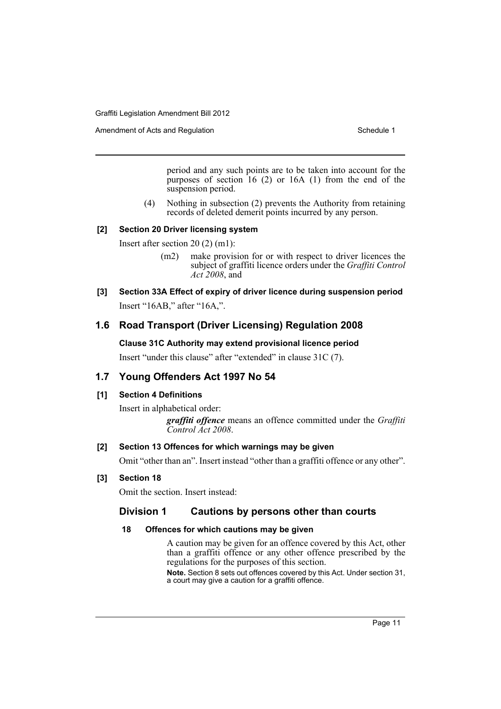Amendment of Acts and Regulation Schedule 1

period and any such points are to be taken into account for the purposes of section  $16(2)$  or  $16A(1)$  from the end of the suspension period.

(4) Nothing in subsection (2) prevents the Authority from retaining records of deleted demerit points incurred by any person.

### **[2] Section 20 Driver licensing system**

Insert after section 20 (2) (m1):

- (m2) make provision for or with respect to driver licences the subject of graffiti licence orders under the *Graffiti Control Act 2008*, and
- **[3] Section 33A Effect of expiry of driver licence during suspension period** Insert "16AB," after "16A,".

# **1.6 Road Transport (Driver Licensing) Regulation 2008**

# **Clause 31C Authority may extend provisional licence period**

Insert "under this clause" after "extended" in clause 31C (7).

# **1.7 Young Offenders Act 1997 No 54**

# **[1] Section 4 Definitions**

Insert in alphabetical order:

*graffiti offence* means an offence committed under the *Graffiti Control Act 2008*.

# **[2] Section 13 Offences for which warnings may be given**

Omit "other than an". Insert instead "other than a graffiti offence or any other".

# **[3] Section 18**

Omit the section. Insert instead:

# **Division 1 Cautions by persons other than courts**

# **18 Offences for which cautions may be given**

A caution may be given for an offence covered by this Act, other than a graffiti offence or any other offence prescribed by the regulations for the purposes of this section.

**Note.** Section 8 sets out offences covered by this Act. Under section 31, a court may give a caution for a graffiti offence.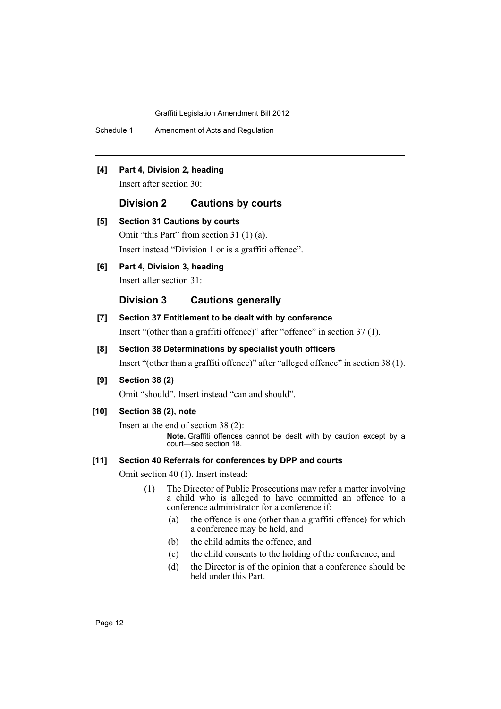Schedule 1 Amendment of Acts and Regulation

# **[4] Part 4, Division 2, heading**

Insert after section 30:

# **Division 2 Cautions by courts**

| [5] | <b>Section 31 Cautions by courts</b>                  |  |
|-----|-------------------------------------------------------|--|
|     | Omit "this Part" from section 31 (1) (a).             |  |
|     | Insert instead "Division 1 or is a graffiti offence". |  |

# **[6] Part 4, Division 3, heading**

Insert after section 31:

# **Division 3 Cautions generally**

# **[7] Section 37 Entitlement to be dealt with by conference**

Insert "(other than a graffiti offence)" after "offence" in section 37 (1).

## **[8] Section 38 Determinations by specialist youth officers**

Insert "(other than a graffiti offence)" after "alleged offence" in section 38 (1).

**[9] Section 38 (2)**

Omit "should". Insert instead "can and should".

# **[10] Section 38 (2), note**

Insert at the end of section 38 (2): **Note.** Graffiti offences cannot be dealt with by caution except by a court—see section 18.

#### **[11] Section 40 Referrals for conferences by DPP and courts**

Omit section 40 (1). Insert instead:

- (1) The Director of Public Prosecutions may refer a matter involving a child who is alleged to have committed an offence to a conference administrator for a conference if:
	- (a) the offence is one (other than a graffiti offence) for which a conference may be held, and
	- (b) the child admits the offence, and
	- (c) the child consents to the holding of the conference, and
	- (d) the Director is of the opinion that a conference should be held under this Part.